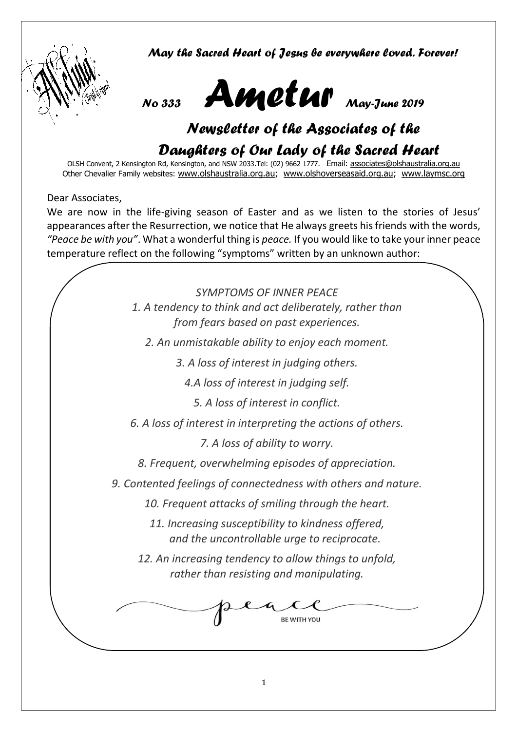

*May the Sacred Heart of Jesus be everywhere loved. Forever!*



# *Newsletter of the Associates of the Daughters of Our Lady of the Sacred Heart*

OLSH Convent, 2 Kensington Rd, Kensington, and NSW 2033.Tel: (02) 9662 1777. Email: [associates@olshaustralia.org.au](mailto:associates@olshaustralia.org.au) Other Chevalier Family websites: [www.olshaustralia.org.au;](http://www.olshaustralia.org.au/) [www.olshoverseasaid.org.au;](http://www.olshoverseasaid.org.au/) [www.laymsc.org](http://www.laymsc.org/)

Dear Associates,

We are now in the life-giving season of Easter and as we listen to the stories of Jesus' appearances after the Resurrection, we notice that He always greets his friends with the words, *"Peace be with you"*. What a wonderful thing is *peace.* If you would like to take your inner peace temperature reflect on the following "symptoms" written by an unknown author:

> *SYMPTOMS OF INNER PEACE 1. A tendency to think and act deliberately, rather than from fears based on past experiences.*

*2. An unmistakable ability to enjoy each moment.*

*3. A loss of interest in judging others.*

*4.A loss of interest in judging self.*

*5. A loss of interest in conflict.* 

*6. A loss of interest in interpreting the actions of others.*

*7. A loss of ability to worry.* 

*8. Frequent, overwhelming episodes of appreciation.*

*9. Contented feelings of connectedness with others and nature.* 

*10. Frequent attacks of smiling through the heart.*

*11. Increasing susceptibility to kindness offered, and the uncontrollable urge to reciprocate.*

*12. An increasing tendency to allow things to unfold, rather than resisting and manipulating.* 

**BE WITH YOU** 

1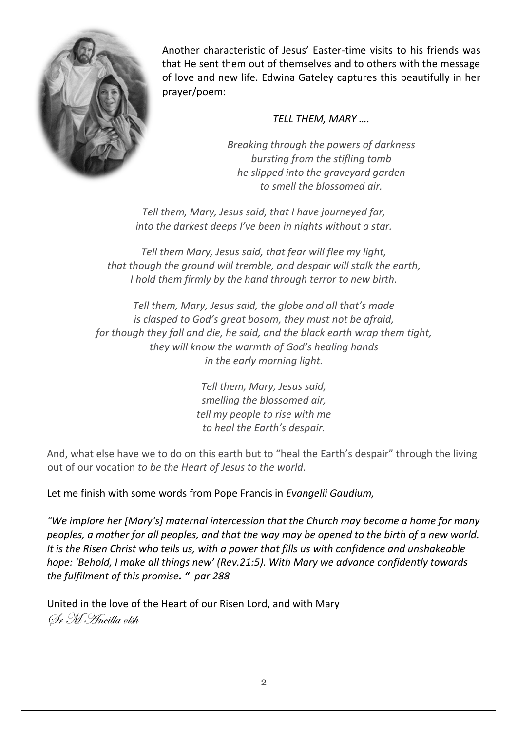

Another characteristic of Jesus' Easter-time visits to his friends was that He sent them out of themselves and to others with the message of love and new life. Edwina Gateley captures this beautifully in her prayer/poem:

#### *TELL THEM, MARY ….*

*Breaking through the powers of darkness bursting from the stifling tomb he slipped into the graveyard garden to smell the blossomed air.*

*Tell them, Mary, Jesus said, that I have journeyed far, into the darkest deeps I've been in nights without a star.*

*Tell them Mary, Jesus said, that fear will flee my light, that though the ground will tremble, and despair will stalk the earth, I hold them firmly by the hand through terror to new birth.*

*Tell them, Mary, Jesus said, the globe and all that's made is clasped to God's great bosom, they must not be afraid, for though they fall and die, he said, and the black earth wrap them tight, they will know the warmth of God's healing hands in the early morning light.*

> *Tell them, Mary, Jesus said, smelling the blossomed air, tell my people to rise with me to heal the Earth's despair.*

And, what else have we to do on this earth but to "heal the Earth's despair" through the living out of our vocation *to be the Heart of Jesus to the world.* 

Let me finish with some words from Pope Francis in *Evangelii Gaudium,* 

*"We implore her [Mary's] maternal intercession that the Church may become a home for many peoples, a mother for all peoples, and that the way may be opened to the birth of a new world. It is the Risen Christ who tells us, with a power that fills us with confidence and unshakeable hope: 'Behold, I make all things new' (Rev.21:5). With Mary we advance confidently towards the fulfilment of this promise. " par 288*

United in the love of the Heart of our Risen Lord, and with Mary Sr M Ancilla olsh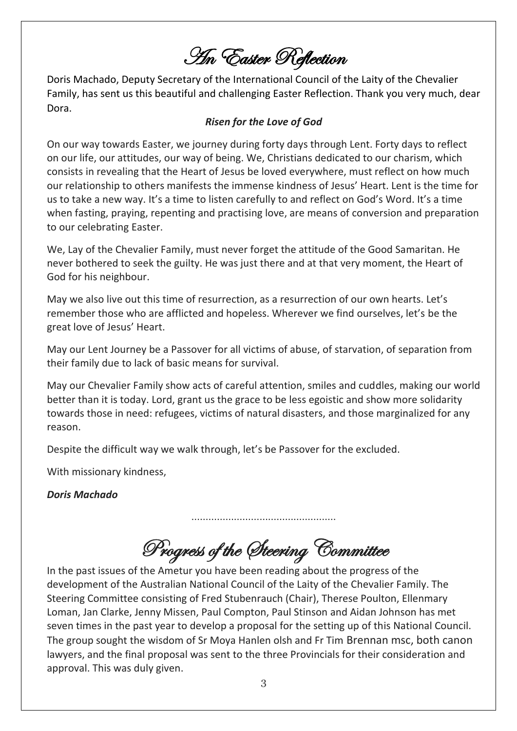An Easter Reflection

Doris Machado, Deputy Secretary of the International Council of the Laity of the Chevalier Family, has sent us this beautiful and challenging Easter Reflection. Thank you very much, dear Dora.

#### *Risen for the Love of God*

On our way towards Easter, we journey during forty days through Lent. Forty days to reflect on our life, our attitudes, our way of being. We, Christians dedicated to our charism, which consists in revealing that the Heart of Jesus be loved everywhere, must reflect on how much our relationship to others manifests the immense kindness of Jesus' Heart. Lent is the time for us to take a new way. It's a time to listen carefully to and reflect on God's Word. It's a time when fasting, praying, repenting and practising love, are means of conversion and preparation to our celebrating Easter.

We, Lay of the Chevalier Family, must never forget the attitude of the Good Samaritan. He never bothered to seek the guilty. He was just there and at that very moment, the Heart of God for his neighbour.

May we also live out this time of resurrection, as a resurrection of our own hearts. Let's remember those who are afflicted and hopeless. Wherever we find ourselves, let's be the great love of Jesus' Heart.

May our Lent Journey be a Passover for all victims of abuse, of starvation, of separation from their family due to lack of basic means for survival.

May our Chevalier Family show acts of careful attention, smiles and cuddles, making our world better than it is today. Lord, grant us the grace to be less egoistic and show more solidarity towards those in need: refugees, victims of natural disasters, and those marginalized for any reason.

Despite the difficult way we walk through, let's be Passover for the excluded.

With missionary kindness,

*Doris Machado*

Progress of the Steering Committee

……………………………………………

In the past issues of the Ametur you have been reading about the progress of the development of the Australian National Council of the Laity of the Chevalier Family. The Steering Committee consisting of Fred Stubenrauch (Chair), Therese Poulton, Ellenmary Loman, Jan Clarke, Jenny Missen, Paul Compton, Paul Stinson and Aidan Johnson has met seven times in the past year to develop a proposal for the setting up of this National Council. The group sought the wisdom of Sr Moya Hanlen olsh and Fr Tim Brennan msc, both canon lawyers, and the final proposal was sent to the three Provincials for their consideration and approval. This was duly given.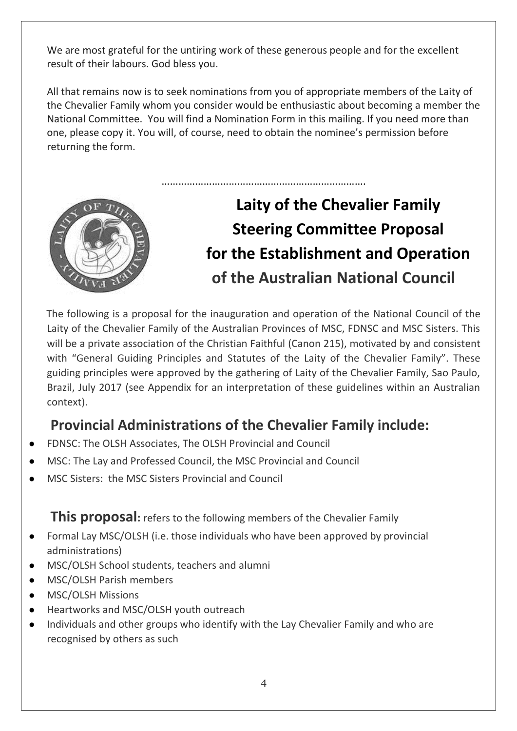We are most grateful for the untiring work of these generous people and for the excellent result of their labours. God bless you.

All that remains now is to seek nominations from you of appropriate members of the Laity of the Chevalier Family whom you consider would be enthusiastic about becoming a member the National Committee. You will find a Nomination Form in this mailing. If you need more than one, please copy it. You will, of course, need to obtain the nominee's permission before returning the form.

……………………………………………………………….



# **Laity of the Chevalier Family Steering Committee Proposal for the Establishment and Operation of the Australian National Council**

The following is a proposal for the inauguration and operation of the National Council of the Laity of the Chevalier Family of the Australian Provinces of MSC, FDNSC and MSC Sisters. This will be a private association of the Christian Faithful (Canon 215), motivated by and consistent with "General Guiding Principles and Statutes of the Laity of the Chevalier Family". These guiding principles were approved by the gathering of Laity of the Chevalier Family, Sao Paulo, Brazil, July 2017 (see Appendix for an interpretation of these guidelines within an Australian context).

## **Provincial Administrations of the Chevalier Family include:**

- FDNSC: The OLSH Associates, The OLSH Provincial and Council
- MSC: The Lay and Professed Council, the MSC Provincial and Council
- MSC Sisters: the MSC Sisters Provincial and Council

**This proposal:** refers to the following members of the Chevalier Family

- Formal Lay MSC/OLSH (i.e. those individuals who have been approved by provincial administrations)
- MSC/OLSH School students, teachers and alumni
- MSC/OLSH Parish members
- MSC/OLSH Missions
- Heartworks and MSC/OLSH youth outreach
- Individuals and other groups who identify with the Lay Chevalier Family and who are recognised by others as such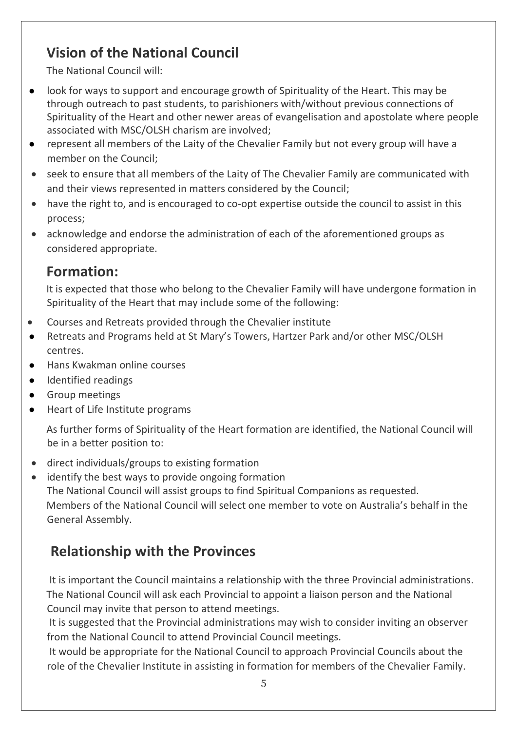# **Vision of the National Council**

The National Council will:

- look for ways to support and encourage growth of Spirituality of the Heart. This may be through outreach to past students, to parishioners with/without previous connections of Spirituality of the Heart and other newer areas of evangelisation and apostolate where people associated with MSC/OLSH charism are involved;
- represent all members of the Laity of the Chevalier Family but not every group will have a member on the Council;
- seek to ensure that all members of the Laity of The Chevalier Family are communicated with and their views represented in matters considered by the Council;
- have the right to, and is encouraged to co-opt expertise outside the council to assist in this process;
- acknowledge and endorse the administration of each of the aforementioned groups as considered appropriate.

### **Formation:**

It is expected that those who belong to the Chevalier Family will have undergone formation in Spirituality of the Heart that may include some of the following:

- Courses and Retreats provided through the Chevalier institute
- Retreats and Programs held at St Mary's Towers, Hartzer Park and/or other MSC/OLSH centres.
- Hans Kwakman online courses
- Identified readings
- Group meetings
- Heart of Life Institute programs

As further forms of Spirituality of the Heart formation are identified, the National Council will be in a better position to:

- direct individuals/groups to existing formation
- identify the best ways to provide ongoing formation The National Council will assist groups to find Spiritual Companions as requested. Members of the National Council will select one member to vote on Australia's behalf in the General Assembly.

# **Relationship with the Provinces**

It is important the Council maintains a relationship with the three Provincial administrations. The National Council will ask each Provincial to appoint a liaison person and the National Council may invite that person to attend meetings.

It is suggested that the Provincial administrations may wish to consider inviting an observer from the National Council to attend Provincial Council meetings.

It would be appropriate for the National Council to approach Provincial Councils about the role of the Chevalier Institute in assisting in formation for members of the Chevalier Family.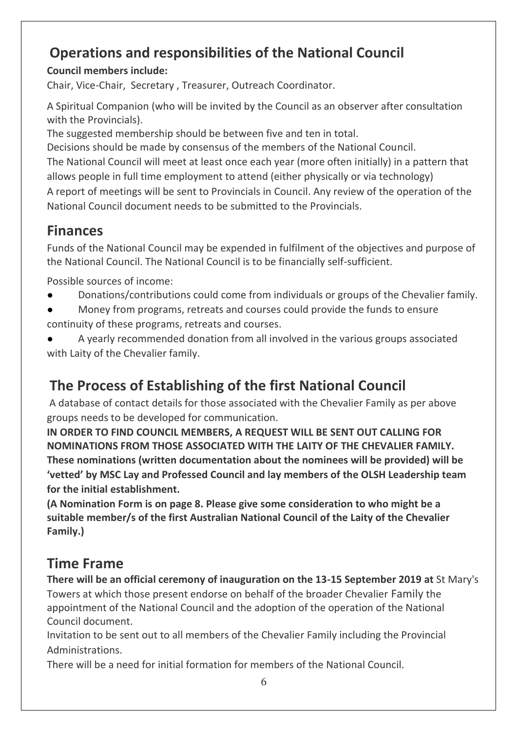# **Operations and responsibilities of the National Council**

#### **Council members include:**

Chair, Vice-Chair, Secretary , Treasurer, Outreach Coordinator.

A Spiritual Companion (who will be invited by the Council as an observer after consultation with the Provincials).

The suggested membership should be between five and ten in total.

Decisions should be made by consensus of the members of the National Council. The National Council will meet at least once each year (more often initially) in a pattern that allows people in full time employment to attend (either physically or via technology) A report of meetings will be sent to Provincials in Council. Any review of the operation of the National Council document needs to be submitted to the Provincials.

## **Finances**

Funds of the National Council may be expended in fulfilment of the objectives and purpose of the National Council. The National Council is to be financially self-sufficient.

Possible sources of income:

- Donations/contributions could come from individuals or groups of the Chevalier family.
- Money from programs, retreats and courses could provide the funds to ensure continuity of these programs, retreats and courses.
- A yearly recommended donation from all involved in the various groups associated with Laity of the Chevalier family.

# **The Process of Establishing of the first National Council**

A database of contact details for those associated with the Chevalier Family as per above groups needs to be developed for communication.

**IN ORDER TO FIND COUNCIL MEMBERS, A REQUEST WILL BE SENT OUT CALLING FOR NOMINATIONS FROM THOSE ASSOCIATED WITH THE LAITY OF THE CHEVALIER FAMILY. These nominations (written documentation about the nominees will be provided) will be 'vetted' by MSC Lay and Professed Council and lay members of the OLSH Leadership team for the initial establishment.** 

**(A Nomination Form is on page 8. Please give some consideration to who might be a suitable member/s of the first Australian National Council of the Laity of the Chevalier Family.)**

## **Time Frame**

**There will be an official ceremony of inauguration on the 13-15 September 2019 at** St Mary's Towers at which those present endorse on behalf of the broader Chevalier Family the appointment of the National Council and the adoption of the operation of the National Council document.

Invitation to be sent out to all members of the Chevalier Family including the Provincial Administrations.

There will be a need for initial formation for members of the National Council.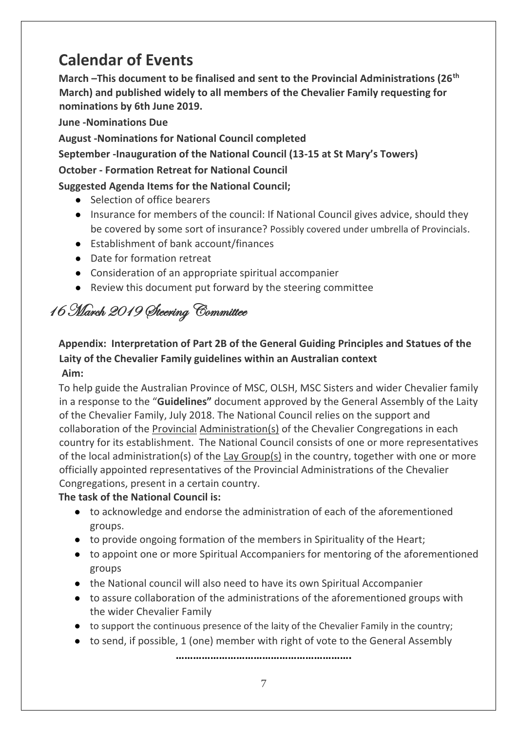# **Calendar of Events**

**March –This document to be finalised and sent to the Provincial Administrations (26th March) and published widely to all members of the Chevalier Family requesting for nominations by 6th June 2019.** 

**June -Nominations Due** 

**August -Nominations for National Council completed** 

**September -Inauguration of the National Council (13-15 at St Mary's Towers)** 

#### **October - Formation Retreat for National Council**

#### **Suggested Agenda Items for the National Council;**

- Selection of office bearers
- Insurance for members of the council: If National Council gives advice, should they be covered by some sort of insurance? Possibly covered under umbrella of Provincials.
- Establishment of bank account/finances
- Date for formation retreat
- Consideration of an appropriate spiritual accompanier
- Review this document put forward by the steering committee

# 16 March 2019 Steering Committee

#### **Appendix: Interpretation of Part 2B of the General Guiding Principles and Statues of the Laity of the Chevalier Family guidelines within an Australian context Aim:**

#### To help guide the Australian Province of MSC, OLSH, MSC Sisters and wider Chevalier family in a response to the "**Guidelines"** document approved by the General Assembly of the Laity of the Chevalier Family, July 2018. The National Council relies on the support and collaboration of the Provincial Administration(s) of the Chevalier Congregations in each country for its establishment. The National Council consists of one or more representatives of the local administration(s) of the Lay Group(s) in the country, together with one or more officially appointed representatives of the Provincial Administrations of the Chevalier Congregations, present in a certain country.

#### **The task of the National Council is:**

- to acknowledge and endorse the administration of each of the aforementioned groups.
- to provide ongoing formation of the members in Spirituality of the Heart;
- to appoint one or more Spiritual Accompaniers for mentoring of the aforementioned groups
- the National council will also need to have its own Spiritual Accompanier
- to assure collaboration of the administrations of the aforementioned groups with the wider Chevalier Family
- to support the continuous presence of the laity of the Chevalier Family in the country;
- to send, if possible, 1 (one) member with right of vote to the General Assembly

**…………………………………………………….**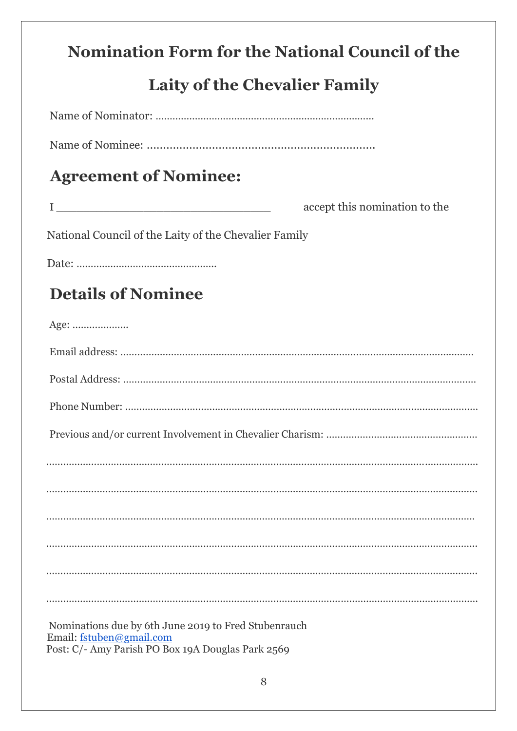# **Nomination Form for the National Council of the**

# **Laity of the Chevalier Family**

| <b>Agreement of Nominee:</b>                                                                                                          |                               |
|---------------------------------------------------------------------------------------------------------------------------------------|-------------------------------|
|                                                                                                                                       | accept this nomination to the |
| National Council of the Laity of the Chevalier Family                                                                                 |                               |
|                                                                                                                                       |                               |
| <b>Details of Nominee</b>                                                                                                             |                               |
| Age:                                                                                                                                  |                               |
|                                                                                                                                       |                               |
|                                                                                                                                       |                               |
|                                                                                                                                       |                               |
|                                                                                                                                       |                               |
|                                                                                                                                       |                               |
|                                                                                                                                       |                               |
|                                                                                                                                       |                               |
|                                                                                                                                       |                               |
|                                                                                                                                       |                               |
|                                                                                                                                       |                               |
| Nominations due by 6th June 2019 to Fred Stubenrauch<br>Email: fstuben@gmail.com<br>Post: C/- Amy Parish PO Box 19A Douglas Park 2569 |                               |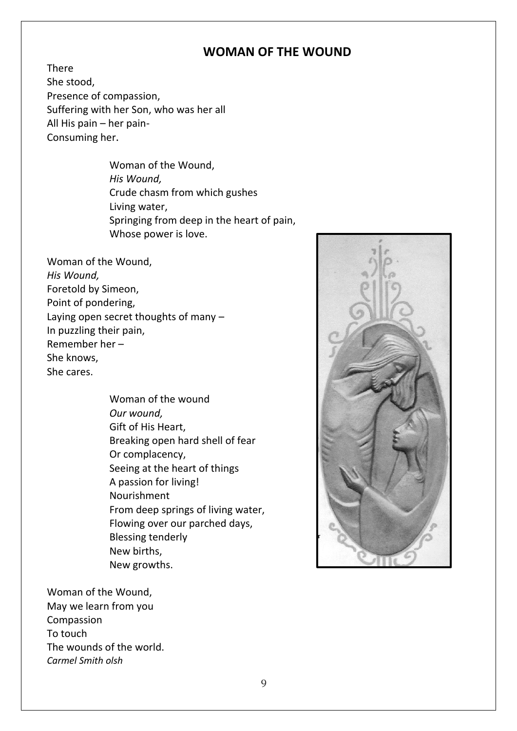#### **WOMAN OF THE WOUND**

There She stood, Presence of compassion, Suffering with her Son, who was her all All His pain – her pain-Consuming her.

> Woman of the Wound, *His Wound,* Crude chasm from which gushes Living water, Springing from deep in the heart of pain, Whose power is love.

Woman of the Wound, *His Wound,* Foretold by Simeon, Point of pondering, Laying open secret thoughts of many – In puzzling their pain, Remember her – She knows, She cares.

> Woman of the wound *Our wound,*  Gift of His Heart, Breaking open hard shell of fear Or complacency, Seeing at the heart of things A passion for living! Nourishment From deep springs of living water, Flowing over our parched days, Blessing tenderly New births, New growths.

Woman of the Wound, May we learn from you Compassion To touch The wounds of the world. *Carmel Smith olsh* 

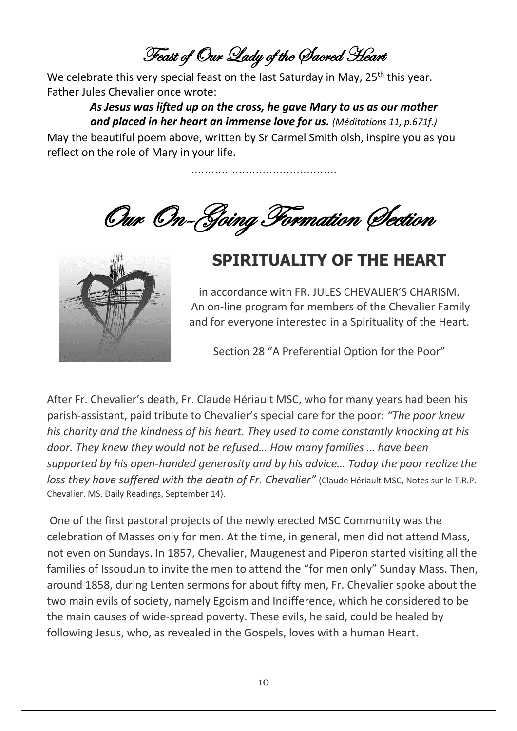Feast of Our Lady of the Sacred Heart

We celebrate this very special feast on the last Saturday in May, 25<sup>th</sup> this year. Father Jules Chevalier once wrote:

> *As Jesus was lifted up on the cross, he gave Mary to us as our mother and placed in her heart an immense love for us. (Méditations 11, p.671f.)*

> > …………………………………….

May the beautiful poem above, written by Sr Carmel Smith olsh, inspire you as you reflect on the role of Mary in your life.

Our On-Going Formation Section



# **SPIRITUALITY OF THE HEART**

in accordance with FR. JULES CHEVALIER'S CHARISM. An on-line program for members of the Chevalier Family and for everyone interested in a Spirituality of the Heart.

Section 28 "A Preferential Option for the Poor"

After Fr. Chevalier's death, Fr. Claude Hériault MSC, who for many years had been his parish-assistant, paid tribute to Chevalier's special care for the poor: *"The poor knew his charity and the kindness of his heart. They used to come constantly knocking at his door. They knew they would not be refused… How many families … have been supported by his open-handed generosity and by his advice… Today the poor realize the loss they have suffered with the death of Fr. Chevalier"* (Claude Hériault MSC, Notes sur le T.R.P. Chevalier. MS. Daily Readings, September 14).

One of the first pastoral projects of the newly erected MSC Community was the celebration of Masses only for men. At the time, in general, men did not attend Mass, not even on Sundays. In 1857, Chevalier, Maugenest and Piperon started visiting all the families of Issoudun to invite the men to attend the "for men only" Sunday Mass. Then, around 1858, during Lenten sermons for about fifty men, Fr. Chevalier spoke about the two main evils of society, namely Egoism and Indifference, which he considered to be the main causes of wide-spread poverty. These evils, he said, could be healed by following Jesus, who, as revealed in the Gospels, loves with a human Heart.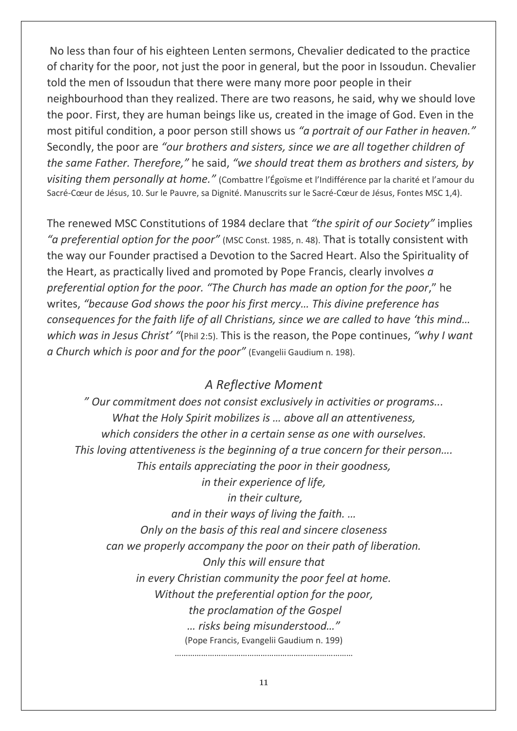No less than four of his eighteen Lenten sermons, Chevalier dedicated to the practice of charity for the poor, not just the poor in general, but the poor in Issoudun. Chevalier told the men of Issoudun that there were many more poor people in their neighbourhood than they realized. There are two reasons, he said, why we should love the poor. First, they are human beings like us, created in the image of God. Even in the most pitiful condition, a poor person still shows us *"a portrait of our Father in heaven."* Secondly, the poor are *"our brothers and sisters, since we are all together children of the same Father. Therefore,"* he said, *"we should treat them as brothers and sisters, by visiting them personally at home."* (Combattre l'Égoïsme et l'Indifférence par la charité et l'amour du Sacré-Cœur de Jésus, 10. Sur le Pauvre, sa Dignité. Manuscrits sur le Sacré-Cœur de Jésus, Fontes MSC 1,4).

The renewed MSC Constitutions of 1984 declare that *"the spirit of our Society"* implies *"a preferential option for the poor"* (MSC Const. 1985, n. 48). That is totally consistent with the way our Founder practised a Devotion to the Sacred Heart. Also the Spirituality of the Heart, as practically lived and promoted by Pope Francis, clearly involves *a preferential option for the poor. "The Church has made an option for the poor*," he writes, *"because God shows the poor his first mercy… This divine preference has consequences for the faith life of all Christians, since we are called to have 'this mind... which was in Jesus Christ' "*(Phil 2:5). This is the reason, the Pope continues, *"why I want a Church which is poor and for the poor"* (Evangelii Gaudium n. 198).

#### *A Reflective Moment*

*" Our commitment does not consist exclusively in activities or programs... What the Holy Spirit mobilizes is … above all an attentiveness, which considers the other in a certain sense as one with ourselves. This loving attentiveness is the beginning of a true concern for their person…. This entails appreciating the poor in their goodness, in their experience of life, in their culture, and in their ways of living the faith. … Only on the basis of this real and sincere closeness can we properly accompany the poor on their path of liberation. Only this will ensure that in every Christian community the poor feel at home. Without the preferential option for the poor, the proclamation of the Gospel … risks being misunderstood…"*  (Pope Francis, Evangelii Gaudium n. 199) ………………………………………………………………………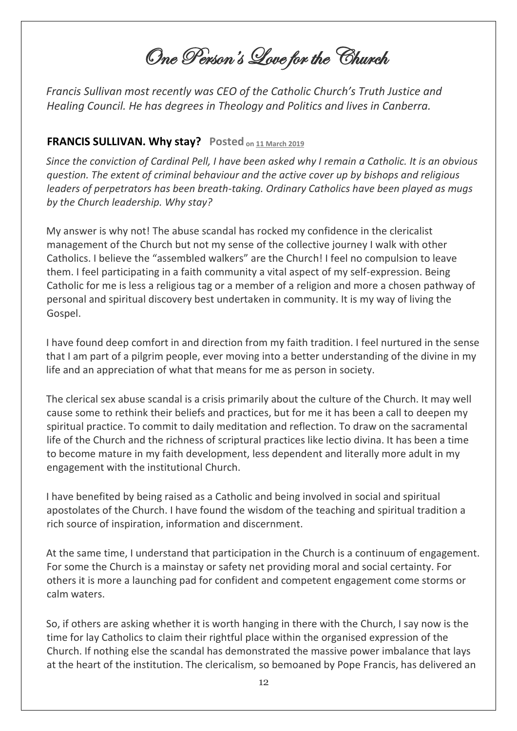One Person's Love for the Church

*Francis Sullivan most recently was CEO of the Catholic Church's Truth Justice and Healing Council. He has degrees in Theology and Politics and lives in Canberra.*

#### **FRANCIS SULLIVAN. Why stay? Posted on [11](https://johnmenadue.com/francis-sullivan-why-stay/) [March](https://johnmenadue.com/francis-sullivan-why-stay/) [2019](https://johnmenadue.com/francis-sullivan-why-stay/)**

*Since the conviction of Cardinal Pell, I have been asked why I remain a Catholic. It is an obvious question. The extent of criminal behaviour and the active cover up by bishops and religious leaders of perpetrators has been breath-taking. Ordinary Catholics have been played as mugs by the Church leadership. Why stay?*

My answer is why not! The abuse scandal has rocked my confidence in the clericalist management of the Church but not my sense of the collective journey I walk with other Catholics. I believe the "assembled walkers" are the Church! I feel no compulsion to leave them. I feel participating in a faith community a vital aspect of my self-expression. Being Catholic for me is less a religious tag or a member of a religion and more a chosen pathway of personal and spiritual discovery best undertaken in community. It is my way of living the Gospel.

I have found deep comfort in and direction from my faith tradition. I feel nurtured in the sense that I am part of a pilgrim people, ever moving into a better understanding of the divine in my life and an appreciation of what that means for me as person in society.

The clerical sex abuse scandal is a crisis primarily about the culture of the Church. It may well cause some to rethink their beliefs and practices, but for me it has been a call to deepen my spiritual practice. To commit to daily meditation and reflection. To draw on the sacramental life of the Church and the richness of scriptural practices like lectio divina. It has been a time to become mature in my faith development, less dependent and literally more adult in my engagement with the institutional Church.

I have benefited by being raised as a Catholic and being involved in social and spiritual apostolates of the Church. I have found the wisdom of the teaching and spiritual tradition a rich source of inspiration, information and discernment.

At the same time, I understand that participation in the Church is a continuum of engagement. For some the Church is a mainstay or safety net providing moral and social certainty. For others it is more a launching pad for confident and competent engagement come storms or calm waters.

So, if others are asking whether it is worth hanging in there with the Church, I say now is the time for lay Catholics to claim their rightful place within the organised expression of the Church. If nothing else the scandal has demonstrated the massive power imbalance that lays at the heart of the institution. The clericalism, so bemoaned by Pope Francis, has delivered an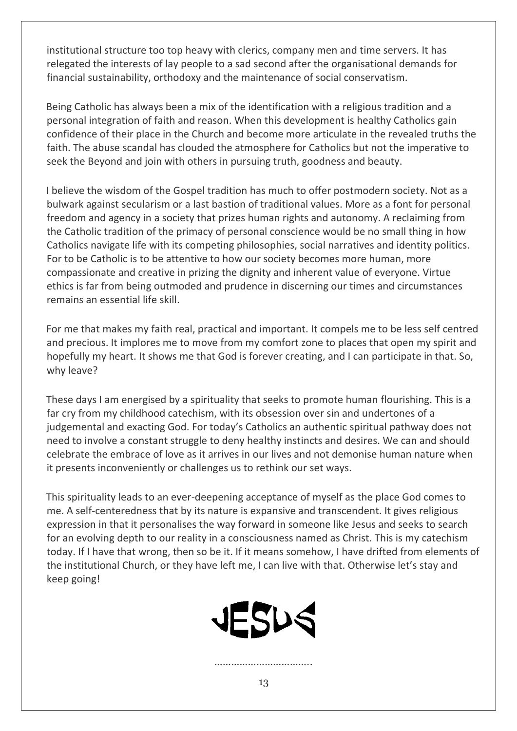institutional structure too top heavy with clerics, company men and time servers. It has relegated the interests of lay people to a sad second after the organisational demands for financial sustainability, orthodoxy and the maintenance of social conservatism.

Being Catholic has always been a mix of the identification with a religious tradition and a personal integration of faith and reason. When this development is healthy Catholics gain confidence of their place in the Church and become more articulate in the revealed truths the faith. The abuse scandal has clouded the atmosphere for Catholics but not the imperative to seek the Beyond and join with others in pursuing truth, goodness and beauty.

I believe the wisdom of the Gospel tradition has much to offer postmodern society. Not as a bulwark against secularism or a last bastion of traditional values. More as a font for personal freedom and agency in a society that prizes human rights and autonomy. A reclaiming from the Catholic tradition of the primacy of personal conscience would be no small thing in how Catholics navigate life with its competing philosophies, social narratives and identity politics. For to be Catholic is to be attentive to how our society becomes more human, more compassionate and creative in prizing the dignity and inherent value of everyone. Virtue ethics is far from being outmoded and prudence in discerning our times and circumstances remains an essential life skill.

For me that makes my faith real, practical and important. It compels me to be less self centred and precious. It implores me to move from my comfort zone to places that open my spirit and hopefully my heart. It shows me that God is forever creating, and I can participate in that. So, why leave?

These days I am energised by a spirituality that seeks to promote human flourishing. This is a far cry from my childhood catechism, with its obsession over sin and undertones of a judgemental and exacting God. For today's Catholics an authentic spiritual pathway does not need to involve a constant struggle to deny healthy instincts and desires. We can and should celebrate the embrace of love as it arrives in our lives and not demonise human nature when it presents inconveniently or challenges us to rethink our set ways.

This spirituality leads to an ever-deepening acceptance of myself as the place God comes to me. A self-centeredness that by its nature is expansive and transcendent. It gives religious expression in that it personalises the way forward in someone like Jesus and seeks to search for an evolving depth to our reality in a consciousness named as Christ. This is my catechism today. If I have that wrong, then so be it. If it means somehow, I have drifted from elements of the institutional Church, or they have left me, I can live with that. Otherwise let's stay and keep going!



……………………………..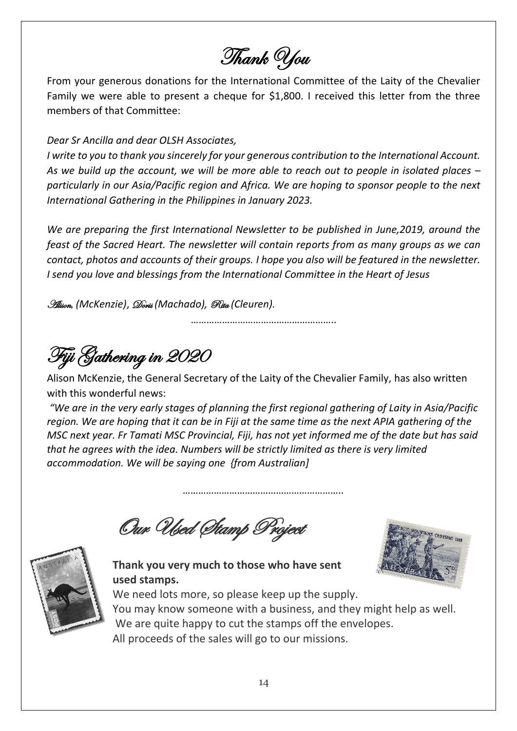Thank You

From your generous donations for the International Committee of the Laity of the Chevalier Family we were able to present a cheque for \$1,800. I received this letter from the three members of that Committee:

#### *Dear Sr Ancilla and dear OLSH Associates,*

*I write to you to thank you sincerely for your generous contribution to the International Account. As we build up the account, we will be more able to reach out to people in isolated places – particularly in our Asia/Pacific region and Africa. We are hoping to sponsor people to the next International Gathering in the Philippines in January 2023.*

*We are preparing the first International Newsletter to be published in June,2019, around the feast of the Sacred Heart. The newsletter will contain reports from as many groups as we can contact, photos and accounts of their groups. I hope you also will be featured in the newsletter. I send you love and blessings from the International Committee in the Heart of Jesus*

Alison, *(McKenzie)*, Doris *(Machado),* Rita *(Cleuren).*

………………………………………………..

Fiji Gathering in 2020

Alison McKenzie, the General Secretary of the Laity of the Chevalier Family, has also written with this wonderful news:

*"We are in the very early stages of planning the first regional gathering of Laity in Asia/Pacific region. We are hoping that it can be in Fiji at the same time as the next APIA gathering of the MSC next year. Fr Tamati MSC Provincial, Fiji, has not yet informed me of the date but has said that he agrees with the idea. Numbers will be strictly limited as there is very limited accommodation. We will be saying one {from Australian]*

*……………………………………………………..*

Our Used Stamp Project



**Thank you very much to those who have sent used stamps.**

We need lots more, so please keep up the supply. You may know someone with a business, and they might help as well. We are quite happy to cut the stamps off the envelopes. All proceeds of the sales will go to our missions.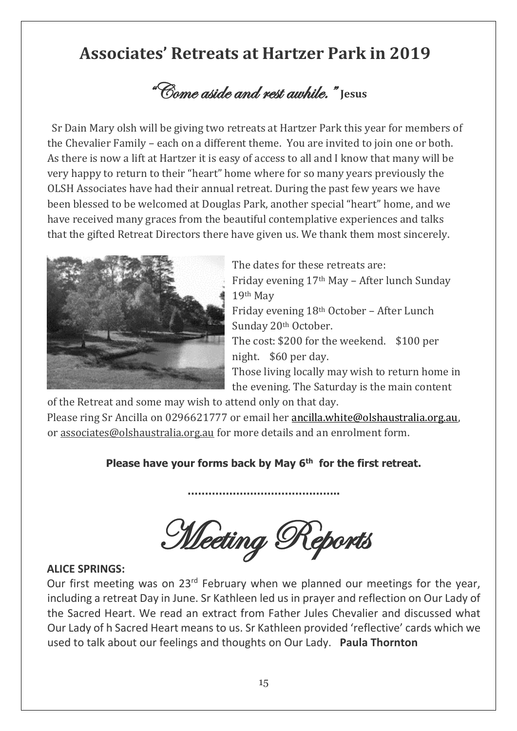# **Associates' Retreats at Hartzer Park in 2019**

"Come aside and rest awhile." **Jesus**

Sr Dain Mary olsh will be giving two retreats at Hartzer Park this year for members of the Chevalier Family – each on a different theme. You are invited to join one or both. As there is now a lift at Hartzer it is easy of access to all and I know that many will be very happy to return to their "heart" home where for so many years previously the OLSH Associates have had their annual retreat. During the past few years we have been blessed to be welcomed at Douglas Park, another special "heart" home, and we have received many graces from the beautiful contemplative experiences and talks that the gifted Retreat Directors there have given us. We thank them most sincerely.



The dates for these retreats are: Friday evening 17th May – After lunch Sunday 19th May Friday evening 18th October – After Lunch Sunday 20th October. The cost: \$200 for the weekend. \$100 per night. \$60 per day. Those living locally may wish to return home in the evening. The Saturday is the main content

of the Retreat and some may wish to attend only on that day.

Please ring Sr Ancilla on 0296621777 or email her [ancilla.white@olshaustralia.org.au,](mailto:ancilla.white@olshaustralia.org.au) or associates@olshaustralia.org.au for more details and an enrolment form.

#### **Please have your forms back by May 6 th for the first retreat.**

**……………………………………..**

**Meeting Reports** 

#### **ALICE SPRINGS:**

Our first meeting was on 23<sup>rd</sup> February when we planned our meetings for the year, including a retreat Day in June. Sr Kathleen led us in prayer and reflection on Our Lady of the Sacred Heart. We read an extract from Father Jules Chevalier and discussed what Our Lady of h Sacred Heart means to us. Sr Kathleen provided 'reflective' cards which we used to talk about our feelings and thoughts on Our Lady. **Paula Thornton**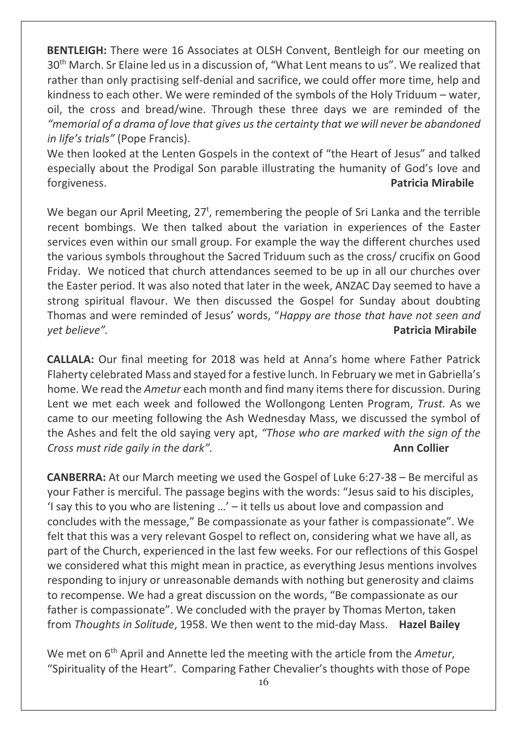**BENTLEIGH:** There were 16 Associates at OLSH Convent, Bentleigh for our meeting on 30<sup>th</sup> March. Sr Elaine led us in a discussion of, "What Lent means to us". We realized that rather than only practising self-denial and sacrifice, we could offer more time, help and kindness to each other. We were reminded of the symbols of the Holy Triduum – water, oil, the cross and bread/wine. Through these three days we are reminded of the *"memorial of a drama of love that gives us the certainty that we will never be abandoned in life's trials"* (Pope Francis).

We then looked at the Lenten Gospels in the context of "the Heart of Jesus" and talked especially about the Prodigal Son parable illustrating the humanity of God's love and forgiveness. **Patricia Mirabile** 

We began our April Meeting,  $27<sup>t</sup>$ , remembering the people of Sri Lanka and the terrible recent bombings. We then talked about the variation in experiences of the Easter services even within our small group. For example the way the different churches used the various symbols throughout the Sacred Triduum such as the cross/ crucifix on Good Friday. We noticed that church attendances seemed to be up in all our churches over the Easter period. It was also noted that later in the week, ANZAC Day seemed to have a strong spiritual flavour. We then discussed the Gospel for Sunday about doubting Thomas and were reminded of Jesus' words, "*Happy are those that have not seen and yet believe".* **Patricia Mirabile** 

**CALLALA:** Our final meeting for 2018 was held at Anna's home where Father Patrick Flaherty celebrated Mass and stayed for a festive lunch. In February we met in Gabriella's home. We read the *Ametur* each month and find many itemsthere for discussion. During Lent we met each week and followed the Wollongong Lenten Program, *Trust.* As we came to our meeting following the Ash Wednesday Mass, we discussed the symbol of the Ashes and felt the old saying very apt, *"Those who are marked with the sign of the*  **Cross must ride gaily in the dark". Ann Collier Ann Collier** 

**CANBERRA:** At our March meeting we used the Gospel of Luke 6:27-38 – Be merciful as your Father is merciful. The passage begins with the words: "Jesus said to his disciples, 'I say this to you who are listening …' – it tells us about love and compassion and concludes with the message," Be compassionate as your father is compassionate". We felt that this was a very relevant Gospel to reflect on, considering what we have all, as part of the Church, experienced in the last few weeks. For our reflections of this Gospel we considered what this might mean in practice, as everything Jesus mentions involves responding to injury or unreasonable demands with nothing but generosity and claims to recompense. We had a great discussion on the words, "Be compassionate as our father is compassionate". We concluded with the prayer by Thomas Merton, taken from *Thoughts in Solitude*, 1958. We then went to the mid-day Mass. **Hazel Bailey**

We met on  $6<sup>th</sup>$  April and Annette led the meeting with the article from the *Ametur*, "Spirituality of the Heart". Comparing Father Chevalier's thoughts with those of Pope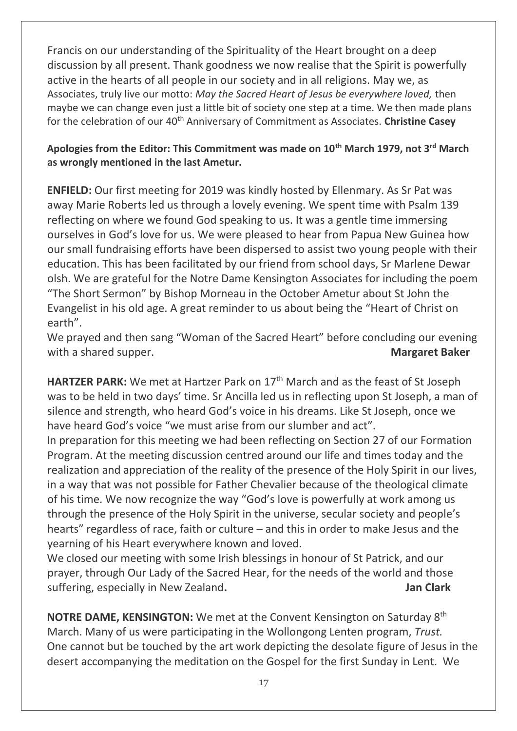Francis on our understanding of the Spirituality of the Heart brought on a deep discussion by all present. Thank goodness we now realise that the Spirit is powerfully active in the hearts of all people in our society and in all religions. May we, as Associates, truly live our motto: *May the Sacred Heart of Jesus be everywhere loved,* then maybe we can change even just a little bit of society one step at a time. We then made plans for the celebration of our 40<sup>th</sup> Anniversary of Commitment as Associates. Christine Casey

#### **Apologies from the Editor: This Commitment was made on 10th March 1979, not 3rd March as wrongly mentioned in the last Ametur.**

**ENFIELD:** Our first meeting for 2019 was kindly hosted by Ellenmary. As Sr Pat was away Marie Roberts led us through a lovely evening. We spent time with Psalm 139 reflecting on where we found God speaking to us. It was a gentle time immersing ourselves in God's love for us. We were pleased to hear from Papua New Guinea how our small fundraising efforts have been dispersed to assist two young people with their education. This has been facilitated by our friend from school days, Sr Marlene Dewar olsh. We are grateful for the Notre Dame Kensington Associates for including the poem "The Short Sermon" by Bishop Morneau in the October Ametur about St John the Evangelist in his old age. A great reminder to us about being the "Heart of Christ on earth".

We prayed and then sang "Woman of the Sacred Heart" before concluding our evening with a shared supper. **Margaret Baker Margaret Baker Margaret Baker** 

**HARTZER PARK:** We met at Hartzer Park on 17<sup>th</sup> March and as the feast of St Joseph was to be held in two days' time. Sr Ancilla led us in reflecting upon St Joseph, a man of silence and strength, who heard God's voice in his dreams. Like St Joseph, once we have heard God's voice "we must arise from our slumber and act".

In preparation for this meeting we had been reflecting on Section 27 of our Formation Program. At the meeting discussion centred around our life and times today and the realization and appreciation of the reality of the presence of the Holy Spirit in our lives, in a way that was not possible for Father Chevalier because of the theological climate of his time. We now recognize the way "God's love is powerfully at work among us through the presence of the Holy Spirit in the universe, secular society and people's hearts" regardless of race, faith or culture – and this in order to make Jesus and the yearning of his Heart everywhere known and loved.

We closed our meeting with some Irish blessings in honour of St Patrick, and our prayer, through Our Lady of the Sacred Hear, for the needs of the world and those suffering, especially in New Zealand. **Jan Clark Jan Clark Jan Clark** 

**NOTRE DAME, KENSINGTON:** We met at the Convent Kensington on Saturday 8<sup>th</sup> March. Many of us were participating in the Wollongong Lenten program, *Trust.*  One cannot but be touched by the art work depicting the desolate figure of Jesus in the desert accompanying the meditation on the Gospel for the first Sunday in Lent. We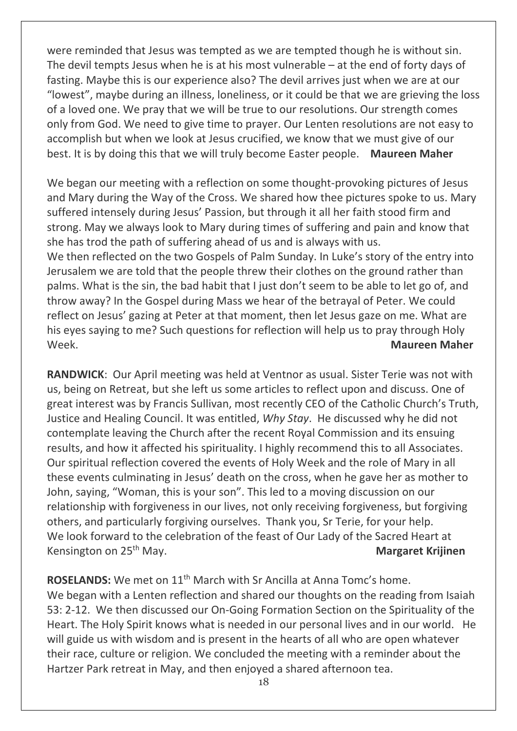were reminded that Jesus was tempted as we are tempted though he is without sin. The devil tempts Jesus when he is at his most vulnerable – at the end of forty days of fasting. Maybe this is our experience also? The devil arrives just when we are at our "lowest", maybe during an illness, loneliness, or it could be that we are grieving the loss of a loved one. We pray that we will be true to our resolutions. Our strength comes only from God. We need to give time to prayer. Our Lenten resolutions are not easy to accomplish but when we look at Jesus crucified, we know that we must give of our best. It is by doing this that we will truly become Easter people. **Maureen Maher** 

We began our meeting with a reflection on some thought-provoking pictures of Jesus and Mary during the Way of the Cross. We shared how thee pictures spoke to us. Mary suffered intensely during Jesus' Passion, but through it all her faith stood firm and strong. May we always look to Mary during times of suffering and pain and know that she has trod the path of suffering ahead of us and is always with us. We then reflected on the two Gospels of Palm Sunday. In Luke's story of the entry into Jerusalem we are told that the people threw their clothes on the ground rather than palms. What is the sin, the bad habit that I just don't seem to be able to let go of, and throw away? In the Gospel during Mass we hear of the betrayal of Peter. We could reflect on Jesus' gazing at Peter at that moment, then let Jesus gaze on me. What are his eyes saying to me? Such questions for reflection will help us to pray through Holy Week. **Maureen Maher**

**RANDWICK**: Our April meeting was held at Ventnor as usual. Sister Terie was not with us, being on Retreat, but she left us some articles to reflect upon and discuss. One of great interest was by Francis Sullivan, most recently CEO of the Catholic Church's Truth, Justice and Healing Council. It was entitled, *Why Stay*. He discussed why he did not contemplate leaving the Church after the recent Royal Commission and its ensuing results, and how it affected his spirituality. I highly recommend this to all Associates. Our spiritual reflection covered the events of Holy Week and the role of Mary in all these events culminating in Jesus' death on the cross, when he gave her as mother to John, saying, "Woman, this is your son". This led to a moving discussion on our relationship with forgiveness in our lives, not only receiving forgiveness, but forgiving others, and particularly forgiving ourselves. Thank you, Sr Terie, for your help. We look forward to the celebration of the feast of Our Lady of the Sacred Heart at Kensington on 25th May. **Margaret Krijinen**

**ROSELANDS:** We met on 11th March with Sr Ancilla at Anna Tomc's home. We began with a Lenten reflection and shared our thoughts on the reading from Isaiah 53: 2-12. We then discussed our On-Going Formation Section on the Spirituality of the Heart. The Holy Spirit knows what is needed in our personal lives and in our world. He will guide us with wisdom and is present in the hearts of all who are open whatever their race, culture or religion. We concluded the meeting with a reminder about the Hartzer Park retreat in May, and then enjoyed a shared afternoon tea.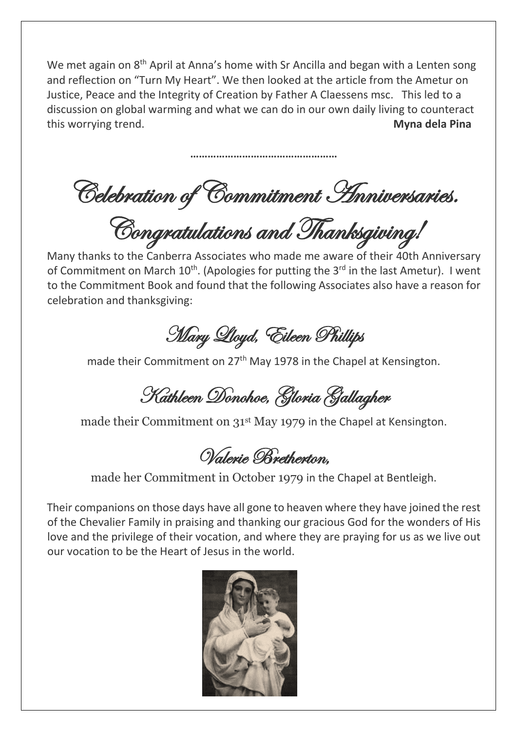We met again on 8<sup>th</sup> April at Anna's home with Sr Ancilla and began with a Lenten song and reflection on "Turn My Heart". We then looked at the article from the Ametur on Justice, Peace and the Integrity of Creation by Father A Claessens msc. This led to a discussion on global warming and what we can do in our own daily living to counteract this worrying trend. **Myna dela Pina** 

Celebration of Commitment Anniversaries.

**……………………………………………**

Congratulations and Thanksgiving!

Many thanks to the Canberra Associates who made me aware of their 40th Anniversary of Commitment on March 10<sup>th</sup>. (Apologies for putting the 3<sup>rd</sup> in the last Ametur). I went to the Commitment Book and found that the following Associates also have a reason for celebration and thanksgiving:

Mary Lloyd, Eileen Phillips

made their Commitment on 27<sup>th</sup> May 1978 in the Chapel at Kensington.

Kathleen Donohoe, Gloria Gallagher

made their Commitment on 31<sup>st</sup> May 1979 in the Chapel at Kensington.

Valerie Bretherton,

made her Commitment in October 1979 in the Chapel at Bentleigh.

Their companions on those days have all gone to heaven where they have joined the rest of the Chevalier Family in praising and thanking our gracious God for the wonders of His love and the privilege of their vocation, and where they are praying for us as we live out our vocation to be the Heart of Jesus in the world.